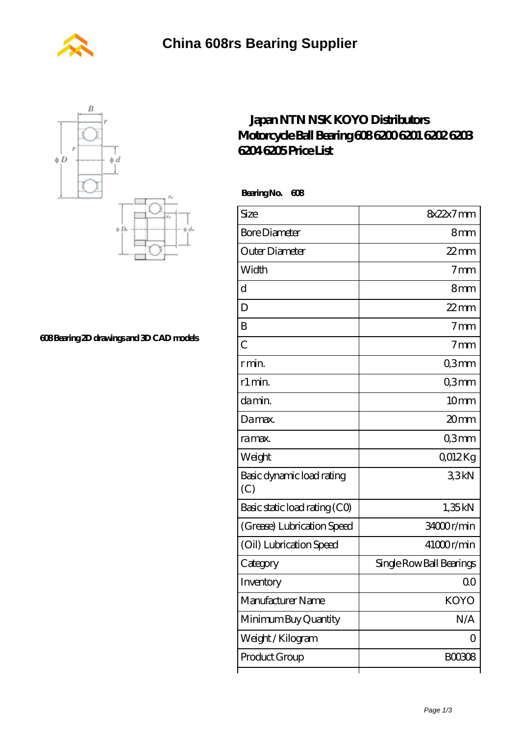



Ā.

**[608 Bearing 2D drawings and 3D CAD models](https://m.wanatahschool.com/pic-510933.html)**

## **[Japan NTN NSK KOYO Distributors](https://m.wanatahschool.com/koyo-608-bearing/) [Motorcycle Ball Bearing 608 6200 6201 6202 6203](https://m.wanatahschool.com/koyo-608-bearing/) [6204 6205 Price List](https://m.wanatahschool.com/koyo-608-bearing/)**

 **Bearing No. 608**

| Size                             | 8x22x7mm                 |
|----------------------------------|--------------------------|
| <b>Bore Diameter</b>             | 8 <sub>mm</sub>          |
| Outer Diameter                   | $22$ mm                  |
| Width                            | 7 <sub>mm</sub>          |
| d                                | 8mm                      |
| D                                | $22$ mm                  |
| B                                | 7 <sub>mm</sub>          |
| $\overline{C}$                   | 7 <sub>mm</sub>          |
| r min.                           | Q3mm                     |
| r1 min.                          | Q3mm                     |
| da min.                          | 10mm                     |
| Damax.                           | 20mm                     |
| ra max.                          | Q3mm                     |
| Weight                           | QO12Kg                   |
| Basic dynamic load rating<br>(C) | 33kN                     |
| Basic static load rating (CO)    | 1,35kN                   |
| (Grease) Lubrication Speed       | 34000r/min               |
| (Oil) Lubrication Speed          | 41000r/min               |
| Category                         | Single Row Ball Bearings |
| Inventory                        | 00                       |
| Manufacturer Name                | KOYO                     |
| Minimum Buy Quantity             | N/A                      |
| Weight / Kilogram                | 0                        |
| Product Group                    | <b>BOO308</b>            |
|                                  |                          |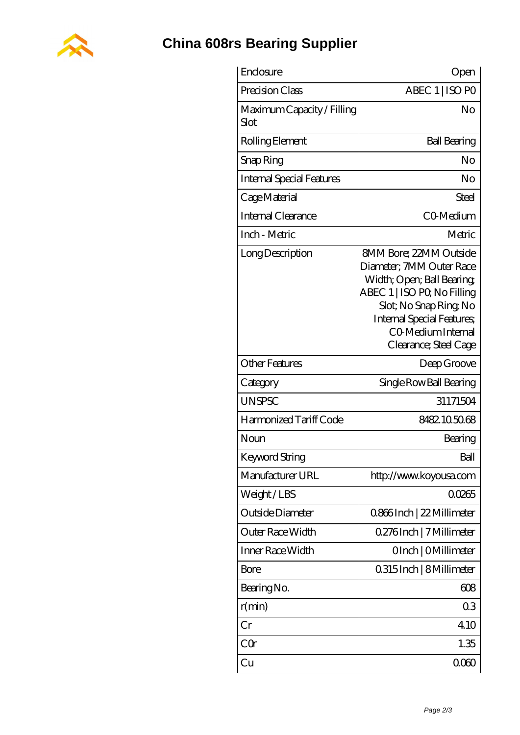

## **[China 608rs Bearing Supplier](https://m.wanatahschool.com)**

| Enclosure                          | Open                                                                                                                                                                                                                              |
|------------------------------------|-----------------------------------------------------------------------------------------------------------------------------------------------------------------------------------------------------------------------------------|
| Precision Class                    | ABEC 1   ISO PO                                                                                                                                                                                                                   |
| Maximum Capacity / Filling<br>Slot | No                                                                                                                                                                                                                                |
| Rolling Element                    | <b>Ball Bearing</b>                                                                                                                                                                                                               |
| Snap Ring                          | No                                                                                                                                                                                                                                |
| Internal Special Features          | No                                                                                                                                                                                                                                |
| Cage Material                      | Steel                                                                                                                                                                                                                             |
| <b>Internal Clearance</b>          | CO-Medium                                                                                                                                                                                                                         |
| Inch - Metric                      | Metric                                                                                                                                                                                                                            |
| Long Description                   | <b>8MM Bore; 22MM Outside</b><br>Diameter; 7MM Outer Race<br>Width; Open; Ball Bearing;<br>ABEC 1   ISO PQ No Filling<br>Slot; No Snap Ring No<br><b>Internal Special Features</b><br>CO Medium Internal<br>Clearance; Steel Cage |
| <b>Other Features</b>              | Deep Groove                                                                                                                                                                                                                       |
| Category                           | Single Row Ball Bearing                                                                                                                                                                                                           |
| <b>UNSPSC</b>                      | 31171504                                                                                                                                                                                                                          |
| Harmonized Tariff Code             | 8482.105068                                                                                                                                                                                                                       |
| Noun                               | Bearing                                                                                                                                                                                                                           |
| <b>Keyword String</b>              | Ball                                                                                                                                                                                                                              |
| Manufacturer URL                   | http://www.koyousa.com                                                                                                                                                                                                            |
| Weight/LBS                         | 00265                                                                                                                                                                                                                             |
| Outside Diameter                   | 0.866Inch   22 Millimeter                                                                                                                                                                                                         |
| Outer Race Width                   | 0.276Inch   7 Millimeter                                                                                                                                                                                                          |
| Inner Race Width                   | OInch   OMillimeter                                                                                                                                                                                                               |
| Bore                               | 0.315 Inch   8 Millimeter                                                                                                                                                                                                         |
| Bearing No.                        | 608                                                                                                                                                                                                                               |
| r(min)                             | 03                                                                                                                                                                                                                                |
| Cr                                 | 410                                                                                                                                                                                                                               |
| CQ                                 | 1.35                                                                                                                                                                                                                              |
| Cu                                 | 000                                                                                                                                                                                                                               |